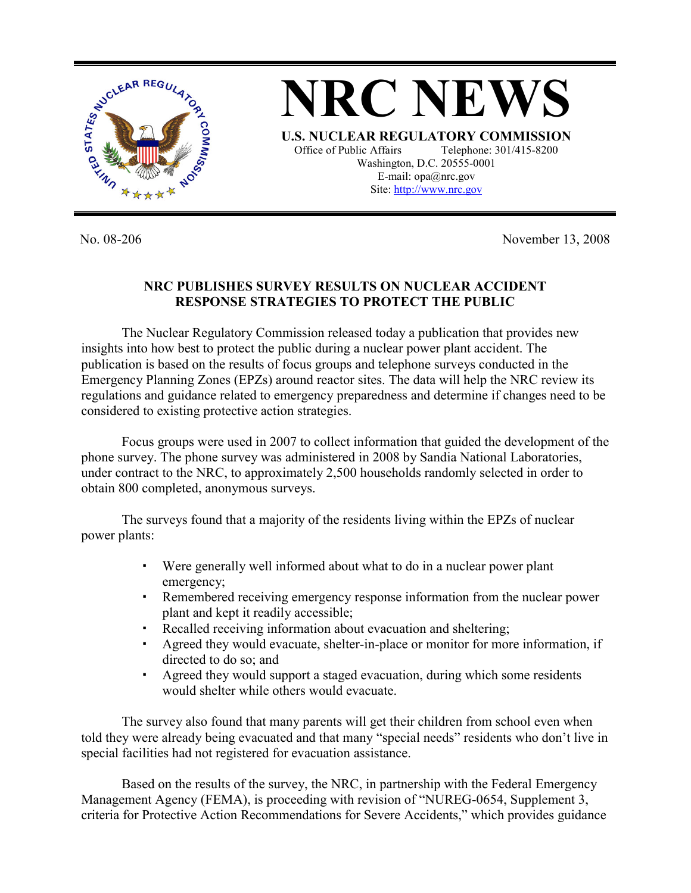

No. 08-206 November 13, 2008

## **NRC PUBLISHES SURVEY RESULTS ON NUCLEAR ACCIDENT RESPONSE STRATEGIES TO PROTECT THE PUBLIC**

The Nuclear Regulatory Commission released today a publication that provides new insights into how best to protect the public during a nuclear power plant accident. The publication is based on the results of focus groups and telephone surveys conducted in the Emergency Planning Zones (EPZs) around reactor sites. The data will help the NRC review its regulations and guidance related to emergency preparedness and determine if changes need to be considered to existing protective action strategies.

Focus groups were used in 2007 to collect information that guided the development of the phone survey. The phone survey was administered in 2008 by Sandia National Laboratories, under contract to the NRC, to approximately 2,500 households randomly selected in order to obtain 800 completed, anonymous surveys.

The surveys found that a majority of the residents living within the EPZs of nuclear power plants:

- Were generally well informed about what to do in a nuclear power plant emergency;
- Remembered receiving emergency response information from the nuclear power plant and kept it readily accessible;
- Recalled receiving information about evacuation and sheltering;
- Agreed they would evacuate, shelter-in-place or monitor for more information, if directed to do so; and
- Agreed they would support a staged evacuation, during which some residents would shelter while others would evacuate.

The survey also found that many parents will get their children from school even when told they were already being evacuated and that many "special needs" residents who don't live in special facilities had not registered for evacuation assistance.

Based on the results of the survey, the NRC, in partnership with the Federal Emergency Management Agency (FEMA), is proceeding with revision of "NUREG-0654, Supplement 3, criteria for Protective Action Recommendations for Severe Accidents," which provides guidance